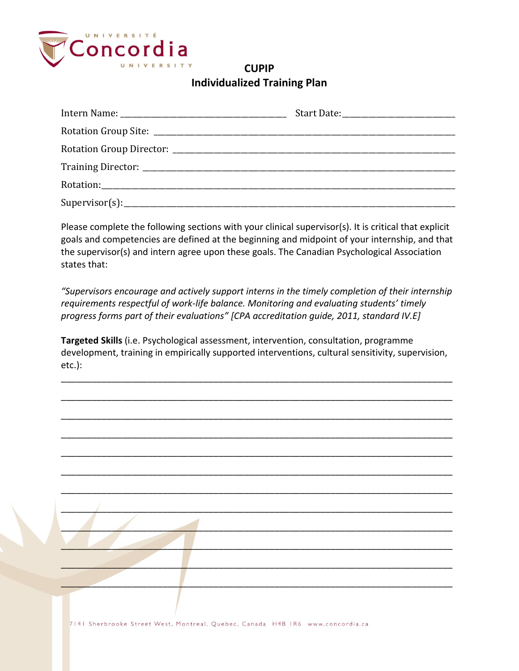

## **CUPIP Individualized Training Plan**

Please complete the following sections with your clinical supervisor(s). It is critical that explicit goals and competencies are defined at the beginning and midpoint of your internship, and that the supervisor(s) and intern agree upon these goals. The Canadian Psychological Association states that:

*"Supervisors encourage and actively support interns in the timely completion of their internship requirements respectful of work-life balance. Monitoring and evaluating students' timely progress forms part of their evaluations" [CPA accreditation guide, 2011, standard IV.E]*

**Targeted Skills** (i.e. Psychological assessment, intervention, consultation, programme development, training in empirically supported interventions, cultural sensitivity, supervision, etc.):

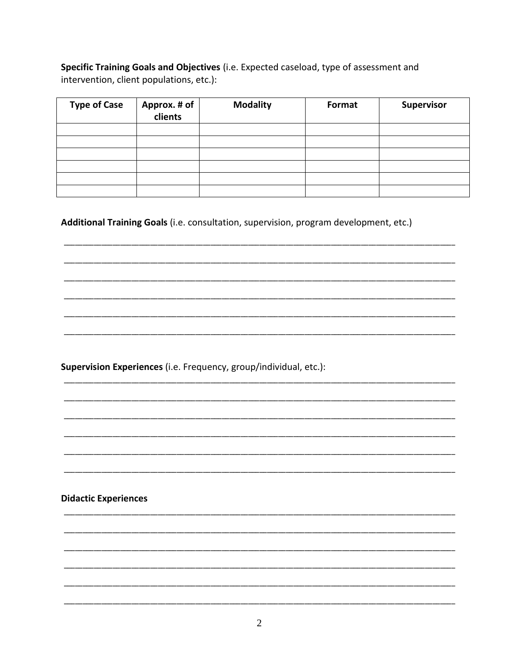Specific Training Goals and Objectives (i.e. Expected caseload, type of assessment and intervention, client populations, etc.):

| <b>Type of Case</b> | Approx. # of<br>clients | <b>Modality</b> | Format | Supervisor |
|---------------------|-------------------------|-----------------|--------|------------|
|                     |                         |                 |        |            |
|                     |                         |                 |        |            |
|                     |                         |                 |        |            |
|                     |                         |                 |        |            |
|                     |                         |                 |        |            |
|                     |                         |                 |        |            |

Additional Training Goals (i.e. consultation, supervision, program development, etc.)

Supervision Experiences (i.e. Frequency, group/individual, etc.):

**Didactic Experiences**